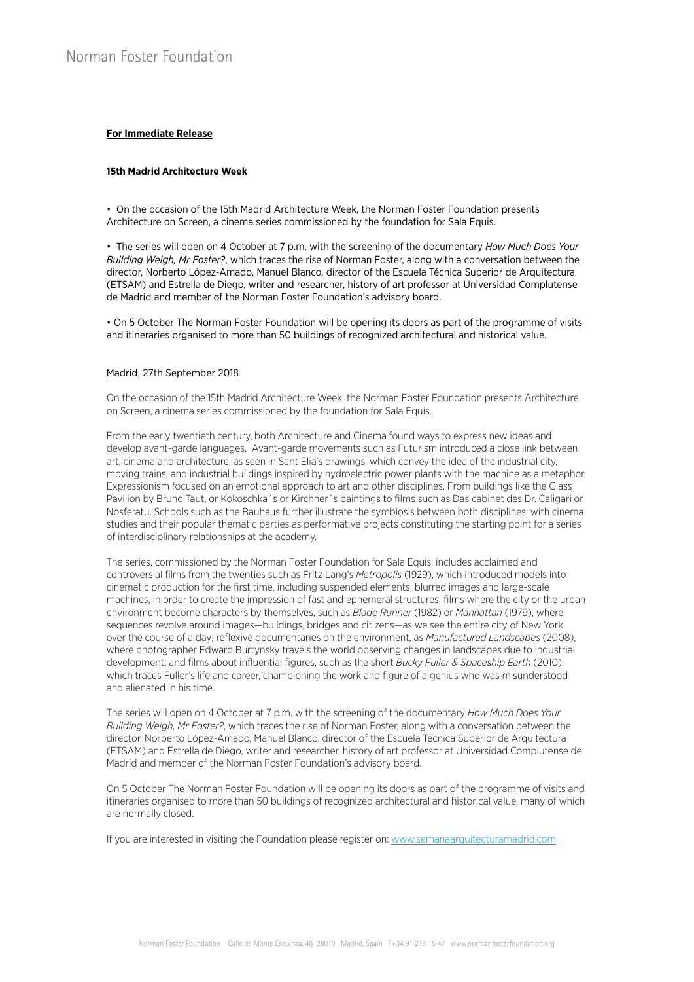# **For Immediate Release**

# **15th Madrid Architecture Week**

• On the occasion of the 15th Madrid Architecture Week, the Norman Foster Foundation presents Architecture on Screen, a cinema series commissioned by the foundation for Sala Equis.

• The series will open on 4 October at 7 p.m. with the screening of the documentary *How Much Does Your Building Weigh, Mr Foster?*, which traces the rise of Norman Foster, along with a conversation between the director, Norberto López-Amado, Manuel Blanco, director of the Escuela Técnica Superior de Arquitectura (ETSAM) and Estrella de Diego, writer and researcher, history of art professor at Universidad Complutense de Madrid and member of the Norman Foster Foundation's advisory board.

• On 5 October The Norman Foster Foundation will be opening its doors as part of the programme of visits and itineraries organised to more than 50 buildings of recognized architectural and historical value.

# Madrid, 27th September 2018

On the occasion of the 15th Madrid Architecture Week, the Norman Foster Foundation presents Architecture on Screen, a cinema series commissioned by the foundation for Sala Equis.

From the early twentieth century, both Architecture and Cinema found ways to express new ideas and develop avant-garde languages. Avant-garde movements such as Futurism introduced a close link between art, cinema and architecture, as seen in Sant Elia's drawings, which convey the idea of the industrial city, moving trains, and industrial buildings inspired by hydroelectric power plants with the machine as a metaphor. Expressionism focused on an emotional approach to art and other disciplines. From buildings like the Glass Pavilion by Bruno Taut, or Kokoschka´s or Kirchner´s paintings to films such as Das cabinet des Dr. Caligari or Nosferatu. Schools such as the Bauhaus further illustrate the symbiosis between both disciplines, with cinema studies and their popular thematic parties as performative projects constituting the starting point for a series of interdisciplinary relationships at the academy.

The series, commissioned by the Norman Foster Foundation for Sala Equis, includes acclaimed and controversial films from the twenties such as Fritz Lang's *Metropolis* (1929), which introduced models into cinematic production for the first time, including suspended elements, blurred images and large-scale machines, in order to create the impression of fast and ephemeral structures; films where the city or the urban environment become characters by themselves, such as *Blade Runner* (1982) or *Manhattan* (1979), where sequences revolve around images—buildings, bridges and citizens—as we see the entire city of New York over the course of a day; reflexive documentaries on the environment, as *Manufactured Landscapes* (2008), where photographer Edward Burtynsky travels the world observing changes in landscapes due to industrial development; and films about influential figures, such as the short *Bucky Fuller & Spaceship Earth* (2010), which traces Fuller's life and career, championing the work and figure of a genius who was misunderstood and alienated in his time.

The series will open on 4 October at 7 p.m. with the screening of the documentary *How Much Does Your Building Weigh, Mr Foster?*, which traces the rise of Norman Foster, along with a conversation between the director, Norberto López-Amado, Manuel Blanco, director of the Escuela Técnica Superior de Arquitectura (ETSAM) and Estrella de Diego, writer and researcher, history of art professor at Universidad Complutense de Madrid and member of the Norman Foster Foundation's advisory board.

On 5 October The Norman Foster Foundation will be opening its doors as part of the programme of visits and itineraries organised to more than 50 buildings of recognized architectural and historical value, many of which are normally closed.

If you are interested in visiting the Foundation please register on: www.semanaarquitecturamadrid.com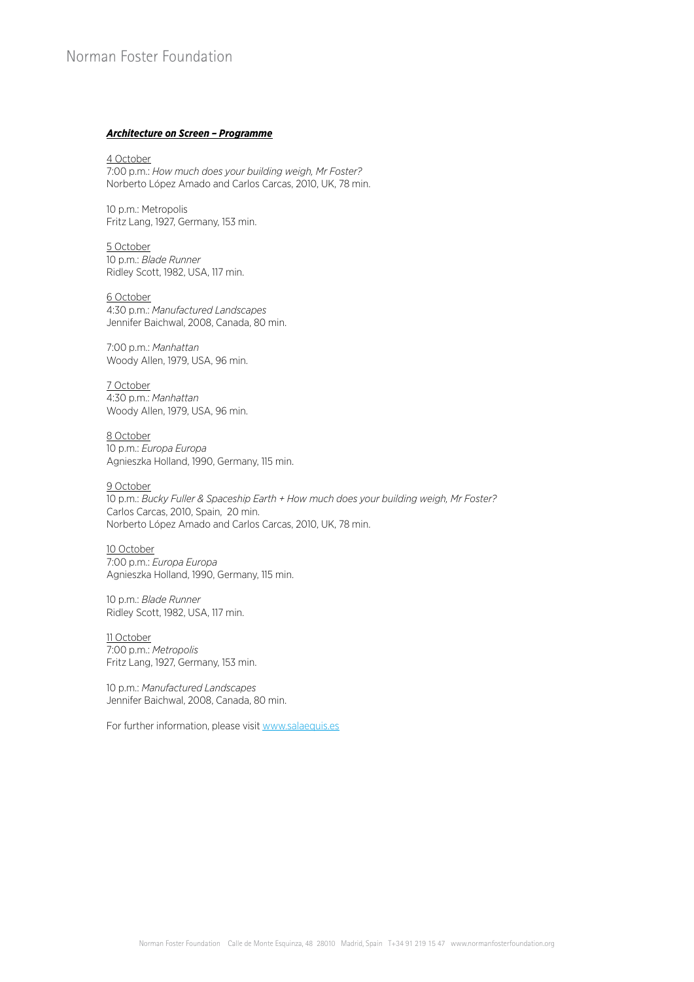# Norman Foster Foundation

#### *Architecture on Screen – Programme*

# 4 October

7:00 p.m.: *How much does your building weigh, Mr Foster?*  Norberto López Amado and Carlos Carcas, 2010, UK, 78 min.

10 p.m.: Metropolis Fritz Lang, 1927, Germany, 153 min.

5 October 10 p.m.: *Blade Runner*  Ridley Scott, 1982, USA, 117 min.

#### 6 October

4:30 p.m.: *Manufactured Landscapes*  Jennifer Baichwal, 2008, Canada, 80 min.

7:00 p.m.: *Manhattan*  Woody Allen, 1979, USA, 96 min.

7 October 4:30 p.m.: *Manhattan* Woody Allen, 1979, USA, 96 min.

8 October 10 p.m.: *Europa Europa*  Agnieszka Holland, 1990, Germany, 115 min.

#### 9 October

10 p.m.: *Bucky Fuller & Spaceship Earth + How much does your building weigh, Mr Foster?* Carlos Carcas, 2010, Spain, 20 min. Norberto López Amado and Carlos Carcas, 2010, UK, 78 min.

10 October 7:00 p.m.: *Europa Europa*  Agnieszka Holland, 1990, Germany, 115 min.

10 p.m.: *Blade Runner* Ridley Scott, 1982, USA, 117 min.

11 October 7:00 p.m.: *Metropolis* Fritz Lang, 1927, Germany, 153 min.

10 p.m.: *Manufactured Landscapes*  Jennifer Baichwal, 2008, Canada, 80 min.

For further information, please visit www.salaequis.es